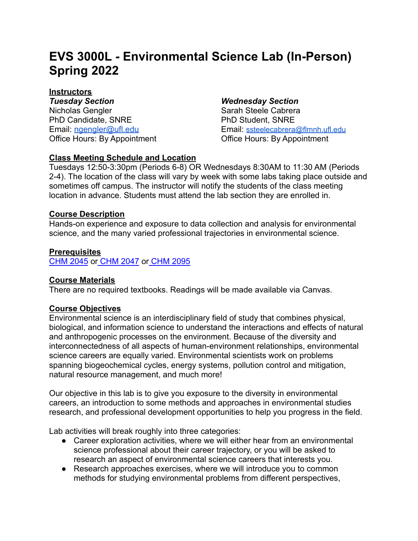# **EVS 3000L** *-* **Environmental Science Lab (In-Person) Spring 2022**

## **Instructors**

*Tuesday Section Wednesday Section* Nicholas Gengler PhD Candidate, SNRE Email: [ngengler@ufl.edu](mailto:ngengler@ufl.edu)

Sarah Steele Cabrera PhD Student, SNRE Email: [ssteelecabrera@flmnh.ufl.edu](mailto:ssteelecabrera@flmnh.ufl.edu) Office Hours: By Appointment **Office Hours: By Appointment** 

#### **Class Meeting Schedule and Location**

Tuesdays 12:50-3:30pm (Periods 6-8) OR Wednesdays 8:30AM to 11:30 AM (Periods 2-4). The location of the class will vary by week with some labs taking place outside and sometimes off campus. The instructor will notify the students of the class meeting location in advance. Students must attend the lab section they are enrolled in.

#### **Course Description**

Hands-on experience and exposure to data collection and analysis for environmental science, and the many varied professional trajectories in environmental science.

#### **Prerequisites**

[CHM 2045](https://catalog.ufl.edu/search/?P=CHM%202045) or [CHM 2047](https://catalog.ufl.edu/search/?P=CHM%202047) or [CHM 2095](https://catalog.ufl.edu/search/?P=CHM%202095)

#### **Course Materials**

There are no required textbooks. Readings will be made available via Canvas.

#### **Course Objectives**

Environmental science is an interdisciplinary field of study that combines physical, biological, and information science to understand the interactions and effects of natural and anthropogenic processes on the environment. Because of the diversity and interconnectedness of all aspects of human-environment relationships, environmental science careers are equally varied. Environmental scientists work on problems spanning biogeochemical cycles, energy systems, pollution control and mitigation, natural resource management, and much more!

Our objective in this lab is to give you exposure to the diversity in environmental careers, an introduction to some methods and approaches in environmental studies research, and professional development opportunities to help you progress in the field.

Lab activities will break roughly into three categories:

- Career exploration activities, where we will either hear from an environmental science professional about their career trajectory, or you will be asked to research an aspect of environmental science careers that interests you.
- Research approaches exercises, where we will introduce you to common methods for studying environmental problems from different perspectives,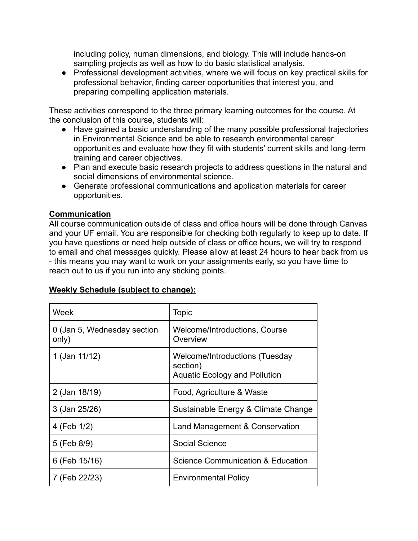including policy, human dimensions, and biology. This will include hands-on sampling projects as well as how to do basic statistical analysis.

● Professional development activities, where we will focus on key practical skills for professional behavior, finding career opportunities that interest you, and preparing compelling application materials.

These activities correspond to the three primary learning outcomes for the course. At the conclusion of this course, students will:

- Have gained a basic understanding of the many possible professional trajectories in Environmental Science and be able to research environmental career opportunities and evaluate how they fit with students' current skills and long-term training and career objectives.
- Plan and execute basic research projects to address questions in the natural and social dimensions of environmental science.
- Generate professional communications and application materials for career opportunities.

### **Communication**

All course communication outside of class and office hours will be done through Canvas and your UF email. You are responsible for checking both regularly to keep up to date. If you have questions or need help outside of class or office hours, we will try to respond to email and chat messages quickly. Please allow at least 24 hours to hear back from us - this means you may want to work on your assignments early, so you have time to reach out to us if you run into any sticking points.

| Week                                 | <b>Topic</b>                                                                       |
|--------------------------------------|------------------------------------------------------------------------------------|
| 0 (Jan 5, Wednesday section<br>only) | Welcome/Introductions, Course<br>Overview                                          |
| 1 (Jan 11/12)                        | Welcome/Introductions (Tuesday<br>section)<br><b>Aquatic Ecology and Pollution</b> |
| 2 (Jan 18/19)                        | Food, Agriculture & Waste                                                          |
| 3 (Jan 25/26)                        | Sustainable Energy & Climate Change                                                |
| 4 (Feb 1/2)                          | Land Management & Conservation                                                     |
| 5 (Feb 8/9)                          | <b>Social Science</b>                                                              |
| 6 (Feb 15/16)                        | <b>Science Communication &amp; Education</b>                                       |
| 7 (Feb 22/23)                        | <b>Environmental Policy</b>                                                        |

#### **Weekly Schedule (subject to change):**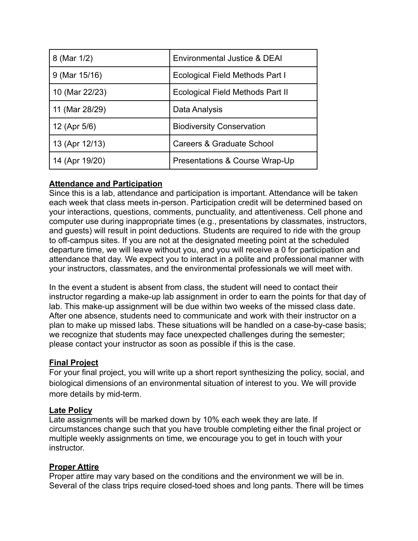| 8 (Mar 1/2)     | <b>Environmental Justice &amp; DEAI</b> |  |
|-----------------|-----------------------------------------|--|
| $9$ (Mar 15/16) | <b>Ecological Field Methods Part I</b>  |  |
| 10 (Mar 22/23)  | <b>Ecological Field Methods Part II</b> |  |
| 11 (Mar 28/29)  | Data Analysis                           |  |
| 12 (Apr 5/6)    | <b>Biodiversity Conservation</b>        |  |
| 13 (Apr 12/13)  | Careers & Graduate School               |  |
| 14 (Apr 19/20)  | Presentations & Course Wrap-Up          |  |

#### **Attendance and Participation**

Since this is a lab, attendance and participation is important. Attendance will be taken each week that class meets in-person. Participation credit will be determined based on your interactions, questions, comments, punctuality, and attentiveness. Cell phone and computer use during inappropriate times (e.g., presentations by classmates, instructors, and guests) will result in point deductions. Students are required to ride with the group to off-campus sites. If you are not at the designated meeting point at the scheduled departure time, we will leave without you, and you will receive a 0 for participation and attendance that day. We expect you to interact in a polite and professional manner with your instructors, classmates, and the environmental professionals we will meet with.

In the event a student is absent from class, the student will need to contact their instructor regarding a make-up lab assignment in order to earn the points for that day of lab. This make-up assignment will be due within two weeks of the missed class date. After one absence, students need to communicate and work with their instructor on a plan to make up missed labs. These situations will be handled on a case-by-case basis; we recognize that students may face unexpected challenges during the semester; please contact your instructor as soon as possible if this is the case.

#### **Final Project**

For your final project, you will write up a short report synthesizing the policy, social, and biological dimensions of an environmental situation of interest to you. We will provide more details by mid-term.

#### **Late Policy**

Late assignments will be marked down by 10% each week they are late. If circumstances change such that you have trouble completing either the final project or multiple weekly assignments on time, we encourage you to get in touch with your instructor.

#### **Proper Attire**

Proper attire may vary based on the conditions and the environment we will be in. Several of the class trips require closed-toed shoes and long pants. There will be times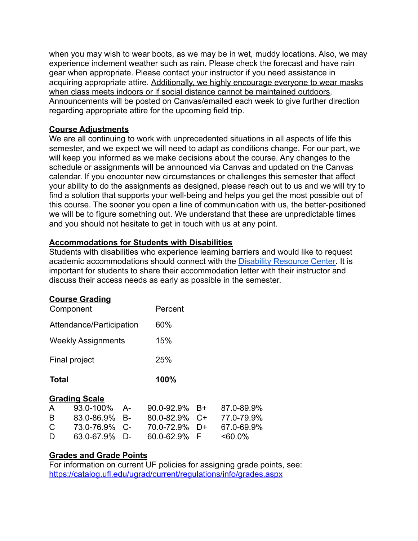when you may wish to wear boots, as we may be in wet, muddy locations. Also, we may experience inclement weather such as rain. Please check the forecast and have rain gear when appropriate. Please contact your instructor if you need assistance in acquiring appropriate attire. Additionally, we highly encourage everyone to wear masks when class meets indoors or if social distance cannot be maintained outdoors. Announcements will be posted on Canvas/emailed each week to give further direction regarding appropriate attire for the upcoming field trip.

#### **Course Adjustments**

We are all continuing to work with unprecedented situations in all aspects of life this semester, and we expect we will need to adapt as conditions change. For our part, we will keep you informed as we make decisions about the course. Any changes to the schedule or assignments will be announced via Canvas and updated on the Canvas calendar. If you encounter new circumstances or challenges this semester that affect your ability to do the assignments as designed, please reach out to us and we will try to find a solution that supports your well-being and helps you get the most possible out of this course. The sooner you open a line of communication with us, the better-positioned we will be to figure something out. We understand that these are unpredictable times and you should not hesitate to get in touch with us at any point.

#### **Accommodations for Students with Disabilities**

Students with disabilities who experience learning barriers and would like to request academic accommodations should connect with the Disability [Resource Center.](https://disability.ufl.edu/get-started/) It is important for students to share their accommodation letter with their instructor and discuss their access needs as early as possible in the semester.

#### **Course Grading**

| Component                 |                      |    | Percent    |    |            |  |
|---------------------------|----------------------|----|------------|----|------------|--|
| Attendance/Participation  |                      |    | 60%        |    |            |  |
| <b>Weekly Assignments</b> |                      |    | 15%        |    |            |  |
| Final project             |                      |    | 25%        |    |            |  |
| <b>Total</b>              |                      |    | 100%       |    |            |  |
|                           | <b>Grading Scale</b> |    |            |    |            |  |
| A                         | 93.0-100%            | А- | 90.0-92.9% | B+ | 87.0-89.9% |  |
| B                         | 83.0-86.9%           | B- | 80.0-82.9% | C+ | 77.0-79.9% |  |
| С                         | 73.0-76.9%           | C- | 70.0-72.9% | D+ | 67.0-69.9% |  |

D 63.0-67.9% D- 60.0-62.9% F <60.0%

#### **Grades and Grade Points**

For information on current UF policies for assigning grade points, see: <https://catalog.ufl.edu/ugrad/current/regulations/info/grades.aspx>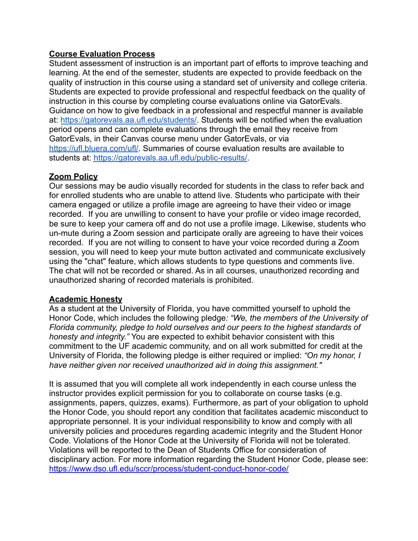#### **Course Evaluation Process**

Student assessment of instruction is an important part of efforts to improve teaching and learning. At the end of the semester, students are expected to provide feedback on the quality of instruction in this course using a standard set of university and college criteria. Students are expected to provide professional and respectful feedback on the quality of instruction in this course by completing course evaluations online via GatorEvals. Guidance on how to give feedback in a professional and respectful manner is available at: <https://gatorevals.aa.ufl.edu/students/>. Students will be notified when the evaluation period opens and can complete evaluations through the email they receive from GatorEvals, in their Canvas course menu under GatorEvals, or via [https://ufl.bluera.com/ufl/.](https://ufl.bluera.com/ufl/) Summaries of course evaluation results are available to students at: <https://gatorevals.aa.ufl.edu/public-results/>.

### **Zoom Policy**

Our sessions may be audio visually recorded for students in the class to refer back and for enrolled students who are unable to attend live. Students who participate with their camera engaged or utilize a profile image are agreeing to have their video or image recorded. If you are unwilling to consent to have your profile or video image recorded, be sure to keep your camera off and do not use a profile image. Likewise, students who un-mute during a Zoom session and participate orally are agreeing to have their voices recorded. If you are not willing to consent to have your voice recorded during a Zoom session, you will need to keep your mute button activated and communicate exclusively using the "chat" feature, which allows students to type questions and comments live. The chat will not be recorded or shared. As in all courses, unauthorized recording and unauthorized sharing of recorded materials is prohibited.

#### **Academic Honesty**

As a student at the University of Florida, you have committed yourself to uphold the Honor Code, which includes the following pledge*: "We, the members of the University of Florida community, pledge to hold ourselves and our peers to the highest standards of honesty and integrity."* You are expected to exhibit behavior consistent with this commitment to the UF academic community, and on all work submitted for credit at the University of Florida, the following pledge is either required or implied: *"On my honor, I have neither given nor received unauthorized aid in doing this assignment."*

It is assumed that you will complete all work independently in each course unless the instructor provides explicit permission for you to collaborate on course tasks (e.g. assignments, papers, quizzes, exams). Furthermore, as part of your obligation to uphold the Honor Code, you should report any condition that facilitates academic misconduct to appropriate personnel. It is your individual responsibility to know and comply with all university policies and procedures regarding academic integrity and the Student Honor Code. Violations of the Honor Code at the University of Florida will not be tolerated. Violations will be reported to the Dean of Students Office for consideration of disciplinary action. For more information regarding the Student Honor Code, please see: <https://www.dso.ufl.edu/sccr/process/student-conduct-honor-code/>